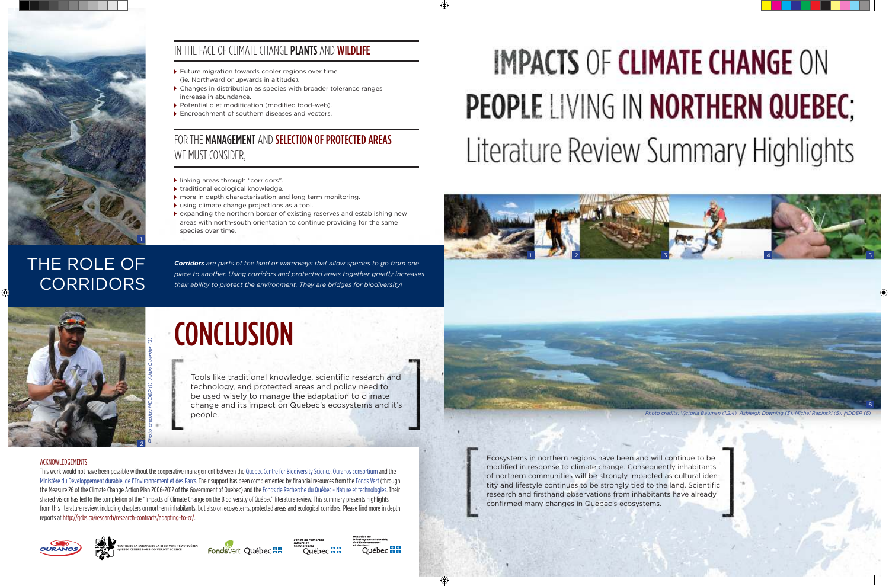*Corridors are parts of the land or waterways that allow species to go from one place to another. Using corridors and protected areas together greatly increases* 

# **IMPACTS OF CLIMATE CHANGE ON PEOPLE LIVING IN NORTHERN QUEBEC:** Literature Review Summary Highlights

# THE ROLE OF **CORRIDORS**

*their ability to protect the environment. They are bridges for biodiversity!*

# FOR THE MANAGEMENT AND SELECTION OF PROTECTED AREAS WE MUST CONSIDER,

- Future migration towards cooler regions over time (ie. Northward or upwards in altitude).
- Changes in distribution as species with broader tolerance ranges increase in abundance.
- ▶ Potential diet modification (modified food-web).
- ▶ Encroachment of southern diseases and vectors.

- linking areas through "corridors".
- ▶ traditional ecological knowledge.
- $\blacktriangleright$  more in depth characterisation and long term monitoring.
- using climate change projections as a tool.
- expanding the northern border of existing reserves and establishing new areas with north-south orientation to continue providing for the same species over time.

#### ACKNOWLEDGEMENTS

This work would not have been possible without the cooperative management between the Quebec Centre for Biodiversity Science, Ouranos consortium and the Ministère du Développement durable, de l'Environnement et des Parcs. Their support has been complemented by financial resources from the Fonds Vert (through the Measure 26 of the Climate Change Action Plan 2006-2012 of the Government of Quebec) and the Fonds de Recherche du Québec - Nature et technologies. Their shared vision has led to the completion of the "Impacts of Climate Change on the Biodiversity of Québec" literature review. This summary presents highlights from this literature review, including chapters on northern inhabitants. but also on ecosystems, protected areas and ecological corridors. Please find more in depth reports at http://qcbs.ca/research/research-contracts/adapting-to-cc/.











Tools like traditional knowledge, scientific research and technology, and protected areas and policy need to be used wisely to manage the adaptation to climate change and its impact on Quebec's ecosystems and it's people.

> Ecosystems in northern regions have been and will continue to be modified in response to climate change. Consequently inhabitants of northern communities will be strongly impacted as cultural identity and lifestyle continues to be strongly tied to the land. Scientific research and firsthand observations from inhabitants have already confirmed many changes in Quebec's ecosystems.



*Photo credits: Victoria Bauman (1,2,4), Ashleigh Downing (3), Michel Rapinski (5), MDDEP (6)*



## IN THE FACE OF CLIMATE CHANGE PLANTS AND WILDLIFE



# **CONCLUSION**